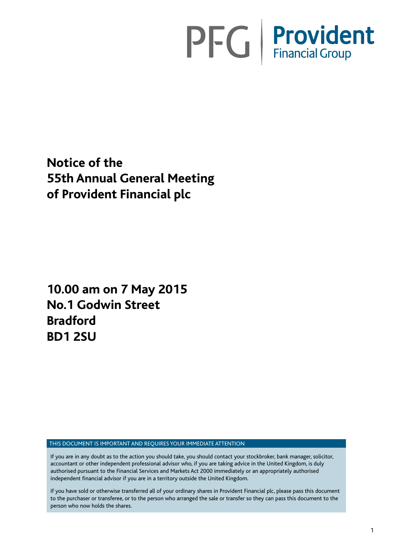

**Notice of the 55th Annual General Meeting of Provident Financial plc**

**10.00 am on 7 May 2015 No.1 Godwin Street Bradford BD1 2SU**

THIS DOCUMENT IS IMPORTANT AND REQUIRES YOUR IMMEDIATE ATTENTION

 If you are in any doubt as to the action you should take, you should contact your stockbroker, bank manager, solicitor, accountant or other independent professional advisor who, if you are taking advice in the United Kingdom, is duly authorised pursuant to the Financial Services and Markets Act 2000 immediately or an appropriately authorised independent financial advisor if you are in a territory outside the United Kingdom.

 If you have sold or otherwise transferred all of your ordinary shares in Provident Financial plc, please pass this document to the purchaser or transferee, or to the person who arranged the sale or transfer so they can pass this document to the person who now holds the shares.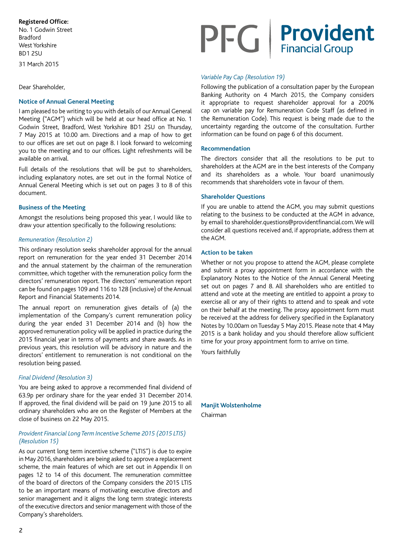# **Registered Office:**

No. 1 Godwin Street Bradford West Yorkshire BD1 2SU

31 March 2015

Dear Shareholder,

#### **Notice of Annual General Meeting**

I am pleased to be writing to you with details of our Annual General Meeting ("AGM") which will be held at our head office at No. 1 Godwin Street, Bradford, West Yorkshire BD1 2SU on Thursday, 7 May 2015 at 10.00 am. Directions and a map of how to get to our offices are set out on page 8. I look forward to welcoming you to the meeting and to our offices. Light refreshments will be available on arrival.

Full details of the resolutions that will be put to shareholders, including explanatory notes, are set out in the formal Notice of Annual General Meeting which is set out on pages 3 to 8 of this document.

#### **Business of the Meeting**

Amongst the resolutions being proposed this year, I would like to draw your attention specifically to the following resolutions:

#### *Remuneration (Resolution 2)*

This ordinary resolution seeks shareholder approval for the annual report on remuneration for the year ended 31 December 2014 and the annual statement by the chairman of the remuneration committee, which together with the remuneration policy form the directors' remuneration report. The directors' remuneration report can be found on pages 109 and 116 to 128 (inclusive) of the Annual Report and Financial Statements 2014.

The annual report on remuneration gives details of (a) the implementation of the Company's current remuneration policy during the year ended 31 December 2014 and (b) how the approved remuneration policy will be applied in practice during the 2015 financial year in terms of payments and share awards. As in previous years, this resolution will be advisory in nature and the directors' entitlement to remuneration is not conditional on the resolution being passed.

#### *Final Dividend (Resolution 3)*

You are being asked to approve a recommended final dividend of 63.9p per ordinary share for the year ended 31 December 2014. If approved, the final dividend will be paid on 19 June 2015 to all ordinary shareholders who are on the Register of Members at the close of business on 22 May 2015.

# *Provident Financial Long Term Incentive Scheme 2015 (2015 LTIS) (Resolution 15)*

As our current long term incentive scheme ("LTIS") is due to expire in May 2016, shareholders are being asked to approve a replacement scheme, the main features of which are set out in Appendix II on pages 12 to 14 of this document. The remuneration committee of the board of directors of the Company considers the 2015 LTIS to be an important means of motivating executive directors and senior management and it aligns the long term strategic interests of the executive directors and senior management with those of the Company's shareholders.

# PFG | Provident

#### *Variable Pay Cap (Resolution 19)*

Following the publication of a consultation paper by the European Banking Authority on 4 March 2015, the Company considers it appropriate to request shareholder approval for a 200% cap on variable pay for Remuneration Code Staff (as defined in the Remuneration Code). This request is being made due to the uncertainty regarding the outcome of the consultation. Further information can be found on page 6 of this document.

# **Recommendation**

The directors consider that all the resolutions to be put to shareholders at the AGM are in the best interests of the Company and its shareholders as a whole. Your board unanimously recommends that shareholders vote in favour of them.

#### **Shareholder Questions**

If you are unable to attend the AGM, you may submit questions relating to the business to be conducted at the AGM in advance, by email to shareholder.questions@providentfinancial.com. We will consider all questions received and, if appropriate, address them at the AGM.

#### **Action to be taken**

Whether or not you propose to attend the AGM, please complete and submit a proxy appointment form in accordance with the Explanatory Notes to the Notice of the Annual General Meeting set out on pages 7 and 8. All shareholders who are entitled to attend and vote at the meeting are entitled to appoint a proxy to exercise all or any of their rights to attend and to speak and vote on their behalf at the meeting. The proxy appointment form must be received at the address for delivery specified in the Explanatory Notes by 10.00am on Tuesday 5 May 2015. Please note that 4 May 2015 is a bank holiday and you should therefore allow sufficient time for your proxy appointment form to arrive on time.

Yours faithfully

**Manjit Wolstenholme**  Chairman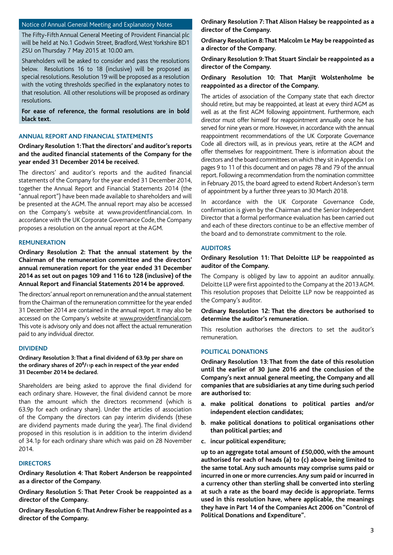#### Notice of Annual General Meeting and Explanatory Notes

The Fifty-Fifth Annual General Meeting of Provident Financial plc will be held at No.1 Godwin Street, Bradford, West Yorkshire BD1 2SU on Thursday 7 May 2015 at 10.00 am.

Shareholders will be asked to consider and pass the resolutions below. Resolutions 16 to 18 (inclusive) will be proposed as special resolutions. Resolution 19 will be proposed as a resolution with the voting thresholds specified in the explanatory notes to that resolution. All other resolutions will be proposed as ordinary resolutions.

**For ease of reference, the formal resolutions are in bold black text.**

#### **ANNUAL REPORT AND FINANCIAL STATEMENTS**

**Ordinary Resolution 1: That the directors' and auditor's reports and the audited financial statements of the Company for the year ended 31 December 2014 be received.**

The directors' and auditor's reports and the audited financial statements of the Company for the year ended 31 December 2014, together the Annual Report and Financial Statements 2014 (the "annual report") have been made available to shareholders and will be presented at the AGM. The annual report may also be accessed on the Company's website at www.providentfinancial.com. In accordance with the UK Corporate Governance Code, the Company proposes a resolution on the annual report at the AGM.

#### **REMUNERATION**

**Ordinary Resolution 2: That the annual statement by the Chairman of the remuneration committee and the directors' annual remuneration report for the year ended 31 December 2014 as set out on pages 109 and 116 to 128 (inclusive) of the Annual Report and Financial Statements 2014 be approved.**

The directors' annual report on remuneration and the annual statement from the Chairman of the remuneration committee for the year ended 31 December 2014 are contained in the annual report. It may also be accessed on the Company's website at www.providentfinancial.com. This vote is advisory only and does not affect the actual remuneration paid to any individual director.

#### **DIVIDEND**

#### **Ordinary Resolution 3: That a final dividend of 63.9p per share on the ordinary shares of 208/11p each in respect of the year ended 31 December 2014 be declared.**

Shareholders are being asked to approve the final dividend for each ordinary share. However, the final dividend cannot be more than the amount which the directors recommend (which is 63.9p for each ordinary share). Under the articles of association of the Company the directors can pay interim dividends (these are dividend payments made during the year). The final dividend proposed in this resolution is in addition to the interim dividend of 34.1p for each ordinary share which was paid on 28 November 2014.

#### **DIRECTORS**

**Ordinary Resolution 4: That Robert Anderson be reappointed as a director of the Company.**

**Ordinary Resolution 5: That Peter Crook be reappointed as a director of the Company.**

**Ordinary Resolution 6: That Andrew Fisher be reappointed as a director of the Company.**

**Ordinary Resolution 7: That Alison Halsey be reappointed as a director of the Company.**

**Ordinary Resolution 8: That Malcolm Le May be reappointed as a director of the Company.**

**Ordinary Resolution 9: That Stuart Sinclair be reappointed as a director of the Company.**

**Ordinary Resolution 10: That Manjit Wolstenholme be reappointed as a director of the Company.**

The articles of association of the Company state that each director should retire, but may be reappointed, at least at every third AGM as well as at the first AGM following appointment. Furthermore, each director must offer himself for reappointment annually once he has served for nine years or more. However, in accordance with the annual reappointment recommendations of the UK Corporate Governance Code all directors will, as in previous years, retire at the AGM and offer themselves for reappointment. There is information about the directors and the board committees on which they sit in Appendix I on pages 9 to 11 of this document and on pages 78 and 79 of the annual report. Following a recommendation from the nomination committee in February 2015, the board agreed to extend Robert Anderson's term of appointment by a further three years to 30 March 2018.

In accordance with the UK Corporate Governance Code, confirmation is given by the Chairman and the Senior Independent Director that a formal performance evaluation has been carried out and each of these directors continue to be an effective member of the board and to demonstrate commitment to the role.

#### **AUDITORS**

# **Ordinary Resolution 11: That Deloitte LLP be reappointed as auditor of the Company.**

The Company is obliged by law to appoint an auditor annually. Deloitte LLP were first appointed to the Company at the 2013 AGM. This resolution proposes that Deloitte LLP now be reappointed as the Company's auditor.

**Ordinary Resolution 12: That the directors be authorised to determine the auditor's remuneration.**

This resolution authorises the directors to set the auditor's remuneration.

#### **POLITICAL DONATIONS**

**Ordinary Resolution 13: That from the date of this resolution until the earlier of 30 June 2016 and the conclusion of the Company's next annual general meeting, the Company and all companies that are subsidiaries at any time during such period are authorised to:**

- **a. make political donations to political parties and/or independent election candidates;**
- **b. make political donations to political organisations other than political parties; and**
- **c. incur political expenditure;**

**up to an aggregate total amount of £50,000, with the amount authorised for each of heads (a) to (c) above being limited to the same total. Any such amounts may comprise sums paid or incurred in one or more currencies. Any sum paid or incurred in a cu**r**rency other than sterling shall be converted into sterling at such a rate as the board may decide is appropriate. Terms used in this resolution have, where applicable, the meanings they have in Part 14 of the Companies Act 2006 on "Control of Political Donations and Expenditure".**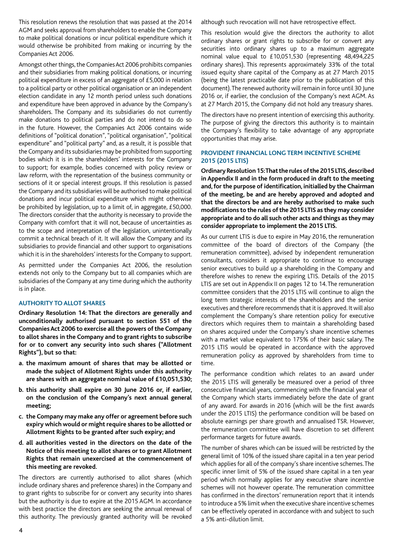This resolution renews the resolution that was passed at the 2014 AGM and seeks approval from shareholders to enable the Company to make political donations or incur political expenditure which it would otherwise be prohibited from making or incurring by the Companies Act 2006.

Amongst other things, the Companies Act 2006 prohibits companies and their subsidiaries from making political donations, or incurring political expenditure in excess of an aggregate of £5,000 in relation to a political party or other political organisation or an independent election candidate in any 12 month period unless such donations and expenditure have been approved in advance by the Company's shareholders. The Company and its subsidiaries do not currently make donations to political parties and do not intend to do so in the future. However, the Companies Act 2006 contains wide definitions of "political donation", "political organisation", "political expenditure" and "political party" and, as a result, it is possible that the Company and its subsidiaries may be prohibited from supporting bodies which it is in the shareholders' interests for the Company to support; for example, bodies concerned with policy review or law reform, with the representation of the business community or sections of it or special interest groups. If this resolution is passed the Company and its subsidiaries will be authorised to make political donations and incur political expenditure which might otherwise be prohibited by legislation, up to a limit of, in aggregate, £50,000. The directors consider that the authority is necessary to provide the Company with comfort that it will not, because of uncertainties as to the scope and interpretation of the legislation, unintentionally commit a technical breach of it. It will allow the Company and its subsidiaries to provide financial and other support to organisations which it is in the shareholders' interests for the Company to support.

As permitted under the Companies Act 2006, the resolution extends not only to the Company but to all companies which are subsidiaries of the Company at any time during which the authority is in place.

# **AUTHORITY TO ALLOT SHARES**

**Ordinary Resolution 14: That the directors are generally and unconditionally authorised pursuant to section 551 of the Companies Act 2006 to exercise all the powers of the Company to allot shares in the Company and to grant rights to subscribe for or to convert any security into such shares ("Allotment Rights"), but so that:**

- **a. the maximum amount of shares that may be allotted or made the subject of Allotment Rights under this authority are shares with an aggregate nominal value of £10,051,530;**
- **b. this authority shall expire on 30 June 2016 or, if earlier, on the conclusion of the Company's next annual general meeting;**
- **c. the Company may make any offer or agreement before such expiry which would or might require shares to be allotted or Allotment Rights to be granted after such expiry; and**
- **d. all authorities vested in the directors on the date of the Notice of this meeting to allot shares or to grant Allotment Rights that remain unexercised at the commencement of this meeting are revoked.**

The directors are currently authorised to allot shares (which include ordinary shares and preference shares) in the Company and to grant rights to subscribe for or convert any security into shares but the authority is due to expire at the 2015 AGM. In accordance with best practice the directors are seeking the annual renewal of this authority. The previously granted authority will be revoked

although such revocation will not have retrospective effect.

This resolution would give the directors the authority to allot ordinary shares or grant rights to subscribe for or convert any securities into ordinary shares up to a maximum aggregate nominal value equal to £10,051,530 (representing 48,494,225 ordinary shares). This represents approximately 33% of the total issued equity share capital of the Company as at 27 March 2015 (being the latest practicable date prior to the publication of this document). The renewed authority will remain in force until 30 June 2016 or, if earlier, the conclusion of the Company's next AGM. As at 27 March 2015, the Company did not hold any treasury shares.

The directors have no present intention of exercising this authority. The purpose of giving the directors this authority is to maintain the Company's flexibility to take advantage of any appropriate opportunities that may arise.

#### **PROVIDENT FINANCIAL LONG TERM INCENTIVE SCHEME 2015 (2015 LTIS)**

**Ordinary Resolution 15: That the rules of the 2015 LTIS, described in Appendix II and in the form produced in draft to the meeting and, for the purpose of identification, initialled by the Chairman of the meeting, be and are hereby approved and adopted and that the directors be and are hereby authorised to make such modifications to the rules of the 2015 LTIS as they may consider appropriate and to do all such other acts and things as they may consider appropriate to implement the 2015 LTIS.**

As our current LTIS is due to expire in May 2016, the remuneration committee of the board of directors of the Company (the remuneration committee), advised by independent remuneration consultants, considers it appropriate to continue to encourage senior executives to build up a shareholding in the Company and therefore wishes to renew the expiring LTIS. Details of the 2015 LTIS are set out in Appendix II on pages 12 to 14. The remuneration committee considers that the 2015 LTIS will continue to align the long term strategic interests of the shareholders and the senior executives and therefore recommends that it is approved. It will also complement the Company's share retention policy for executive directors which requires them to maintain a shareholding based on shares acquired under the Company's share incentive schemes with a market value equivalent to 175% of their basic salary. The 2015 LTIS would be operated in accordance with the approved remuneration policy as approved by shareholders from time to time.

The performance condition which relates to an award under the 2015 LTIS will generally be measured over a period of three consecutive financial years, commencing with the financial year of the Company which starts immediately before the date of grant of any award. For awards in 2016 (which will be the first awards under the 2015 LTIS) the performance condition will be based on absolute earnings per share growth and annualised TSR. However, the remuneration committee will have discretion to set different performance targets for future awards.

The number of shares which can be issued will be restricted by the general limit of 10% of the issued share capital in a ten year period which applies for all of the company's share incentive schemes. The specific inner limit of 5% of the issued share capital in a ten year period which normally applies for any executive share incentive schemes will not however operate. The remuneration committee has confirmed in the directors' remuneration report that it intends to introduce a 5% limit when the executive share incentive schemes can be effectively operated in accordance with and subject to such a 5% anti-dilution limit.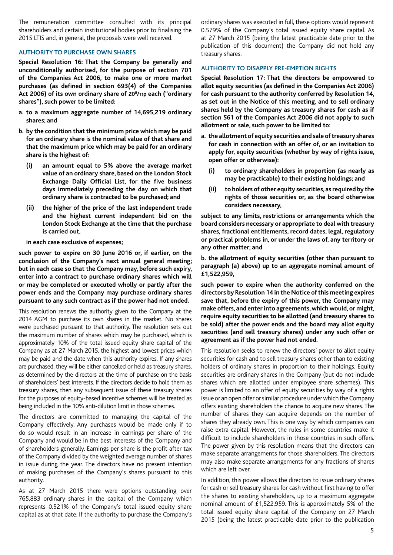The remuneration committee consulted with its principal shareholders and certain institutional bodies prior to finalising the 2015 LTIS and, in general, the proposals were well received.

## **AUTHORITY TO PURCHASE OWN SHARES**

**Special Resolution 16: That the Company be generally and unconditionally authorised, for the purpose of section 701 of the Companies Act 2006, to make one or more market purchases (as defined in section 693(4) of the Companies Act 2006) of its own ordinary share of 208/11p each ("ordinary shares"), such power to be limited:**

- **a. to a maximum aggregate number of 14,695,219 ordinary shares; and**
- **b. by the condition that the minimum price which may be paid for an ordinary share is the nominal value of that share and that the maximum price which may be paid for an ordinary share is the highest of:**
	- **(i) an amount equal to 5% above the average market value of an ordinary share, based on the London Stock Exchange Daily Official List, for the five business days immediately preceding the day on which that ordinary share is contracted to be purchased; and**
	- **(ii) the higher of the price of the last independent trade and the highest current independent bid on the London Stock Exchange at the time that the purchase is carried out,**

#### **in each case exclusive of expenses;**

**such power to expire on 30 June 2016 or, if earlier, on the conclusion of the Company's next annual general meeting; but in each case so that the Company may, before such expiry, enter into a contract to purchase ordinary shares which will or may be completed or executed wholly or partly after the power ends and the Company may purchase ordinary shares pursuant to any such contract as if the power had not ended.**

This resolution renews the authority given to the Company at the 2014 AGM to purchase its own shares in the market. No shares were purchased pursuant to that authority. The resolution sets out the maximum number of shares which may be purchased, which is approximately 10% of the total issued equity share capital of the Company as at 27 March 2015, the highest and lowest prices which may be paid and the date when this authority expires. If any shares are purchased, they will be either cancelled or held as treasury shares, as determined by the directors at the time of purchase on the basis of shareholders' best interests. If the directors decide to hold them as treasury shares, then any subsequent issue of these treasury shares for the purposes of equity-based incentive schemes will be treated as being included in the 10% anti-dilution limit in those schemes.

The directors are committed to managing the capital of the Company effectively. Any purchases would be made only if to do so would result in an increase in earnings per share of the Company and would be in the best interests of the Company and of shareholders generally. Earnings per share is the profit after tax of the Company divided by the weighted average number of shares in issue during the year. The directors have no present intention of making purchases of the Company's shares pursuant to this authority.

As at 27 March 2015 there were options outstanding over 765,883 ordinary shares in the capital of the Company which represents 0.521% of the Company's total issued equity share capital as at that date. If the authority to purchase the Company's

ordinary shares was executed in full, these options would represent 0.579% of the Company's total issued equity share capital. As at 27 March 2015 (being the latest practicable date prior to the publication of this document) the Company did not hold any treasury shares.

# **AUTHORITY TO DISAPPLY PRE-EMPTION RIGHTS**

**Special Resolution 17: That the directors be empowered to allot equity securities (as defined in the Companies Act 2006) for cash pursuant to the authority conferred by Resolution 14, as set out in the Notice of this meeting, and to sell ordinary shares held by the Company as treasury shares for cash as if section 561 of the Companies Act 2006 did not apply to such allotment or sale, such power to be limited to:**

- **a. the allotment of equity securities and sale of treasury shares for cash in connection with an offer of, or an invitation to apply for, equity securities (whether by way of rights issue, open offer or otherwise):**
	- **(i) to ordinary shareholders in proportion (as nearly as may be practicable) to their existing holdings; and**
	- **(ii) to holders of other equity securities, as required by the rights of those securities or, as the board otherwise considers necessary,**

**subject to any limits, restrictions or arrangements which the board considers necessary or appropriate to deal with treasury shares, fractional entitlements, record dates, legal, regulatory or practical problems in, or under the laws of, any territory or any other matter; and**

**b. the allotment of equity securities (other than pursuant to paragraph (a) above) up to an aggregate nominal amount of £1,522,959,**

**such power to expire when the authority conferred on the directors by Resolution 14 in the Notice of this meeting expires save that, before the expiry of this power, the Company may make offers, and enter into agreements, which would, or might, require equity securities to be allotted (and treasury shares to be sold) after the power ends and the board may allot equity securities (and sell treasury shares) under any such offer or agreement as if the power had not ended.**

This resolution seeks to renew the directors' power to allot equity securities for cash and to sell treasury shares other than to existing holders of ordinary shares in proportion to their holdings. Equity securities are ordinary shares in the Company (but do not include shares which are allotted under employee share schemes). This power is limited to an offer of equity securities by way of a rights issue or an open offer or similar procedure under which the Company offers existing shareholders the chance to acquire new shares. The number of shares they can acquire depends on the number of shares they already own. This is one way by which companies can raise extra capital. However, the rules in some countries make it difficult to include shareholders in those countries in such offers. The power given by this resolution means that the directors can make separate arrangements for those shareholders. The directors may also make separate arrangements for any fractions of shares which are left over.

In addition, this power allows the directors to issue ordinary shares for cash or sell treasury shares for cash without first having to offer the shares to existing shareholders, up to a maximum aggregate nominal amount of £1,522,959. This is approximately 5% of the total issued equity share capital of the Company on 27 March 2015 (being the latest practicable date prior to the publication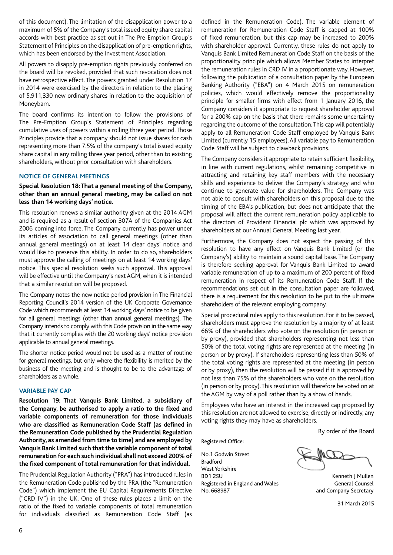of this document). The limitation of the disapplication power to a maximum of 5% of the Company's total issued equity share capital accords with best practice as set out in The Pre-Emption Group's Statement of Principles on the disapplication of pre-emption rights, which has been endorsed by the Investment Association.

All powers to disapply pre-emption rights previously conferred on the board will be revoked, provided that such revocation does not have retrospective effect. The powers granted under Resolution 17 in 2014 were exercised by the directors in relation to the placing of 5,911,330 new ordinary shares in relation to the acquisition of Moneybarn.

The board confirms its intention to follow the provisions of The Pre-Emption Group's Statement of Principles regarding cumulative uses of powers within a rolling three year period. Those Principles provide that a company should not issue shares for cash representing more than 7.5% of the company's total issued equity share capital in any rolling three year period, other than to existing shareholders, without prior consultation with shareholders.

# **NOTICE OF GENERAL MEETINGS**

#### **Special Resolution 18: That a general meeting of the Company, other than an annual general meeting, may be called on not less than 14 working days' notice.**

This resolution renews a similar authority given at the 2014 AGM and is required as a result of section 307A of the Companies Act 2006 coming into force. The Company currently has power under its articles of association to call general meetings (other than annual general meetings) on at least 14 clear days' notice and would like to preserve this ability. In order to do so, shareholders must approve the calling of meetings on at least 14 working days' notice. This special resolution seeks such approval. This approval will be effective until the Company's next AGM, when it is intended that a similar resolution will be proposed.

The Company notes the new notice period provision in The Financial Reporting Council's 2014 version of the UK Corporate Governance Code which recommends at least 14 working days' notice to be given for all general meetings (other than annual general meetings). The Company intends to comply with this Code provision in the same way that it currently complies with the 20 working days' notice provision applicable to annual general meetings.

The shorter notice period would not be used as a matter of routine for general meetings, but only where the flexibility is merited by the business of the meeting and is thought to be to the advantage of shareholders as a whole.

#### **VARIABLE PAY CAP**

**Resolution 19: That Vanquis Bank Limited, a subsidiary of the Company, be authorised to apply a ratio to the fixed and variable components of remuneration for those individuals who are classified as Remuneration Code Staff (as defined in the Remuneration Code published by the Prudential Regulation Authority, as amended from time to time) and are employed by Vanquis Bank Limited such that the variable component of total remuneration for each such individual shall not exceed 200% of the fixed component of total remuneration for that individual.**

The Prudential Regulation Authority ("PRA") has introduced rules in the Remuneration Code published by the PRA (the "Remuneration Code") which implement the EU Capital Requirements Directive ("CRD IV") in the UK. One of these rules places a limit on the ratio of the fixed to variable components of total remuneration for individuals classified as Remuneration Code Staff (as

defined in the Remuneration Code). The variable element of remuneration for Remuneration Code Staff is capped at 100% of fixed remuneration, but this cap may be increased to 200% with shareholder approval. Currently, these rules do not apply to Vanquis Bank Limited Remuneration Code Staff on the basis of the proportionality principle which allows Member States to interpret the remuneration rules in CRD IV in a proportionate way. However, following the publication of a consultation paper by the European Banking Authority ("EBA") on 4 March 2015 on remuneration policies, which would effectively remove the proportionality principle for smaller firms with effect from 1 January 2016, the Company considers it appropriate to request shareholder approval for a 200% cap on the basis that there remains some uncertainty regarding the outcome of the consultation. This cap will potentially apply to all Remuneration Code Staff employed by Vanquis Bank Limited (currently 15 employees). All variable pay to Remuneration Code Staff will be subject to clawback provisions.

The Company considers it appropriate to retain sufficient flexibility, in line with current regulations, whilst remaining competitive in attracting and retaining key staff members with the necessary skills and experience to deliver the Company's strategy and who continue to generate value for shareholders. The Company was not able to consult with shareholders on this proposal due to the timing of the EBA's publication, but does not anticipate that the proposal will affect the current remuneration policy applicable to the directors of Provident Financial plc which was approved by shareholders at our Annual General Meeting last year.

Furthermore, the Company does not expect the passing of this resolution to have any effect on Vanquis Bank Limited (or the Company's) ability to maintain a sound capital base. The Company is therefore seeking approval for Vanquis Bank Limited to award variable remuneration of up to a maximum of 200 percent of fixed remuneration in respect of its Remuneration Code Staff. If the recommendations set out in the consultation paper are followed, there is a requirement for this resolution to be put to the ultimate shareholders of the relevant employing company.

Special procedural rules apply to this resolution. For it to be passed, shareholders must approve the resolution by a majority of at least 66% of the shareholders who vote on the resolution (in person or by proxy), provided that shareholders representing not less than 50% of the total voting rights are represented at the meeting (in person or by proxy). If shareholders representing less than 50% of the total voting rights are represented at the meeting (in person or by proxy), then the resolution will be passed if it is approved by not less than 75% of the shareholders who vote on the resolution (in person or by proxy). This resolution will therefore be voted on at the AGM by way of a poll rather than by a show of hands.

Employees who have an interest in the increased cap proposed by this resolution are not allowed to exercise, directly or indirectly, any voting rights they may have as shareholders.

By order of the Board

Registered Office:

No.1 Godwin Street Bradford West Yorkshire BD1 2SU Kenneth J Mullen Registered in England and Wales General Counsel No. 668987 **and Company Secretary** 

31 March 2015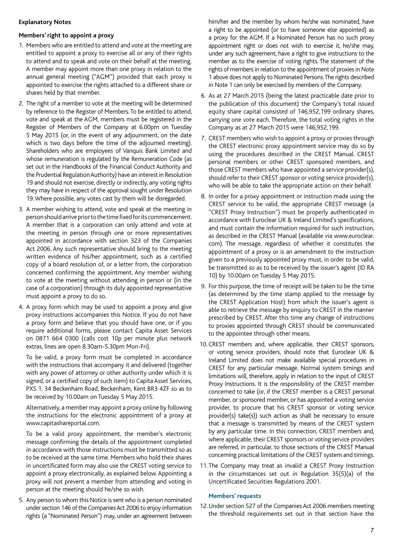# **Explanatory Notes**

# **Members' right to appoint a proxy**

- 1. Members who are entitled to attend and vote at the meeting are entitled to appoint a proxy to exercise all or any of their rights to attend and to speak and vote on their behalf at the meeting. A member may appoint more than one proxy in relation to the annual general meeting ("AGM") provided that each proxy is appointed to exercise the rights attached to a different share or shares held by that member.
- 2. The right of a member to vote at the meeting will be determined by reference to the Register of Members. To be entitled to attend, vote and speak at the AGM, members must be registered in the Register of Members of the Company at 6.00pm on Tuesday 5 May 2015 (or, in the event of any adjournment, on the date which is two days before the time of the adjourned meeting). Shareholders who are employees of Vanquis Bank Limited and whose remuneration is regulated by the Remuneration Code (as set out in the Handbooks of the Financial Conduct Authority and the Prudential Regulation Authority) have an interest in Resolution 19 and should not exercise, directly or indirectly, any voting rights they may have in respect of the approval sought under Resolution 19. Where possible, any votes cast by them will be disregarded.
- 3. A member wishing to attend, vote and speak at the meeting in person should arrive prior to the time fixed for its commencement. A member that is a corporation can only attend and vote at the meeting in person through one or more representatives appointed in accordance with section 323 of the Companies Act 2006. Any such representative should bring to the meeting written evidence of his/her appointment, such as a certified copy of a board resolution of, or a letter from, the corporation concerned confirming the appointment. Any member wishing to vote at the meeting without attending in person or (in the case of a corporation) through its duly appointed representative must appoint a proxy to do so.
- 4. A proxy form which may be used to appoint a proxy and give proxy instructions accompanies this Notice. If you do not have a proxy form and believe that you should have one, or if you require additional forms, please contact Capita Asset Services on 0871 664 0300 (calls cost 10p per minute plus network extras, lines are open 8.30am-5.30pm Mon-Fri).

 To be valid, a proxy form must be completed in accordance with the instructions that accompany it and delivered (together with any power of attorney or other authority under which it is signed, or a certified copy of such item) to Capita Asset Services, PXS 1, 34 Beckenham Road, Beckenham, Kent BR3 4ZF so as to be received by 10.00am on Tuesday 5 May 2015.

 Alternatively, a member may appoint a proxy online by following the instructions for the electronic appointment of a proxy at www.capitashareportal.com.

 To be a valid proxy appointment, the member's electronic message confirming the details of the appointment completed in accordance with those instructions must be transmitted so as to be received at the same time. Members who hold their shares in uncertificated form may also use the CREST voting service to appoint a proxy electronically, as explained below. Appointing a proxy will not prevent a member from attending and voting in person at the meeting should he/she so wish.

5. Any person to whom this Notice is sent who is a person nominated under section 146 of the Companies Act 2006 to enjoy information rights (a "Nominated Person") may, under an agreement between him/her and the member by whom he/she was nominated, have a right to be appointed (or to have someone else appointed) as a proxy for the AGM. If a Nominated Person has no such proxy appointment right or does not wish to exercise it, he/she may, under any such agreement, have a right to give instructions to the member as to the exercise of voting rights. The statement of the rights of members in relation to the appointment of proxies in Note 1 above does not apply to Nominated Persons. The rights described in Note 1 can only be exercised by members of the Company.

- 6. As at 27 March 2015 (being the latest practicable date prior to the publication of this document) the Company's total issued equity share capital consisted of 146,952,199 ordinary shares, carrying one vote each. Therefore, the total voting rights in the Company as at 27 March 2015 were 146,952,199.
- 7. CREST members who wish to appoint a proxy or proxies through the CREST electronic proxy appointment service may do so by using the procedures described in the CREST Manual. CREST personal members or other CREST sponsored members, and those CREST members who have appointed a service provider(s), should refer to their CREST sponsor or voting service provider(s), who will be able to take the appropriate action on their behalf.
- 8. In order for a proxy appointment or instruction made using the CREST service to be valid, the appropriate CREST message (a "CREST Proxy Instruction") must be properly authenticated in accordance with Euroclear UK & Ireland Limited's specifications, and must contain the information required for such instruction, as described in the CREST Manual (available via www.euroclear. com). The message, regardless of whether it constitutes the appointment of a proxy or is an amendment to the instruction given to a previously appointed proxy must, in order to be valid, be transmitted so as to be received by the issuer's agent (ID RA 10) by 10.00am on Tuesday 5 May 2015.
- 9. For this purpose, the time of receipt will be taken to be the time (as determined by the time stamp applied to the message by the CREST Application Host) from which the issuer's agent is able to retrieve the message by enquiry to CREST in the manner prescribed by CREST. After this time any change of instructions to proxies appointed through CREST should be communicated to the appointee through other means.
- 10. CREST members and, where applicable, their CREST sponsors, or voting service providers, should note that Euroclear UK & Ireland Limited does not make available special procedures in CREST for any particular message. Normal system timings and limitations will, therefore, apply in relation to the input of CREST Proxy Instructions. It is the responsibility of the CREST member concerned to take (or, if the CREST member is a CREST personal member, or sponsored member, or has appointed a voting service provider, to procure that his CREST sponsor or voting service provider(s) take(s)) such action as shall be necessary to ensure that a message is transmitted by means of the CREST system by any particular time. In this connection, CREST members and, where applicable, their CREST sponsors or voting service providers are referred, in particular, to those sections of the CREST Manual concerning practical limitations of the CREST system and timings.
- 11. The Company may treat as invalid a CREST Proxy Instruction in the circumstances set out in Regulation 35(5)(a) of the Uncertificated Securities Regulations 2001.

# **Members' requests**

 12. Under section 527 of the Companies Act 2006 members meeting the threshold requirements set out in that section have the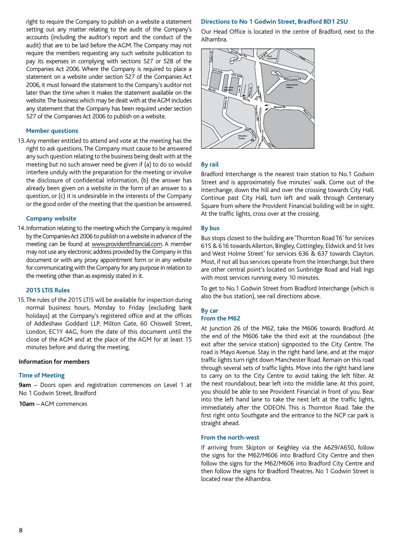right to require the Company to publish on a website a statement setting out any matter relating to the audit of the Company's accounts (including the auditor's report and the conduct of the audit) that are to be laid before the AGM. The Company may not require the members requesting any such website publication to pay its expenses in complying with sections 527 or 528 of the Companies Act 2006. Where the Company is required to place a statement on a website under section 527 of the Companies Act 2006, it must forward the statement to the Company's auditor not later than the time when it makes the statement available on the website. The business which may be dealt with at the AGM includes any statement that the Company has been required under section 527 of the Companies Act 2006 to publish on a website.

#### **Member questions**

 13. Any member entitled to attend and vote at the meeting has the right to ask questions. The Company must cause to be answered any such question relating to the business being dealt with at the meeting but no such answer need be given if (a) to do so would interfere unduly with the preparation for the meeting or involve the disclosure of confidential information, (b) the answer has already been given on a website in the form of an answer to a question, or (c) it is undesirable in the interests of the Company or the good order of the meeting that the question be answered.

#### **Company website**

 14. Information relating to the meeting which the Company is required by the Companies Act 2006 to publish on a website in advance of the meeting can be found at www.providentfinancial.com. A member may not use any electronic address provided by the Company in this document or with any proxy appointment form or in any website for communicating with the Company for any purpose in relation to the meeting other than as expressly stated in it.

#### **2015 LTIS Rules**

 15. The rules of the 2015 LTIS will be available for inspection during normal business hours, Monday to Friday (excluding bank holidays) at the Company's registered office and at the offices of Addleshaw Goddard LLP, Milton Gate, 60 Chiswell Street, London, EC1Y 4AG, from the date of this document until the close of the AGM and at the place of the AGM for at least 15 minutes before and during the meeting.

#### **Information for members**

#### **Time of Meeting**

**9am** – Doors open and registration commences on Level 1 at No 1 Godwin Street, Bradford

**10am** – AGM commences

# **Directions to No 1 Godwin Street, Bradford BD1 2SU**

Our Head Office is located in the centre of Bradford, next to the Alhambra.



# **By rail**

Bradford Interchange is the nearest train station to No.1 Godwin Street and is approximately five minutes' walk. Come out of the Interchange, down the hill and over the crossing towards City Hall. Continue past City Hall, turn left and walk through Centenary Square from where the Provident Financial building will be in sight. At the traffic lights, cross over at the crossing.

# **By bus**

Bus stops closest to the building are 'Thornton Road T6' for services 615 & 616 towards Allerton, Bingley, Cottingley, Eldwick and St Ives and West Holme Street' for services 636 & 637 towards Clayton. Most, if not all bus services operate from the Interchange, but there are other central point's located on Sunbridge Road and Hall Ings with most services running every 10 minutes.

To get to No.1 Godwin Street from Bradford Interchange (which is also the bus station), see rail directions above.

#### **By car From the M62**

At Junction 26 of the M62, take the M606 towards Bradford. At the end of the M606 take the third exit at the roundabout (the exit after the service station) signposted to the City Centre. The road is Mayo Avenue. Stay in the right hand lane, and at the major traffic lights turn right down Manchester Road. Remain on this road through several sets of traffic lights. Move into the right hand lane to carry on to the City Centre to avoid taking the left filter. At the next roundabout, bear left into the middle lane. At this point, you should be able to see Provident Financial in front of you. Bear into the left hand lane to take the next left at the traffic lights, immediately after the ODEON. This is Thornton Road. Take the first right onto Southgate and the entrance to the NCP car park is straight ahead.

#### **From the north-west**

If arriving from Skipton or Keighley via the A629/A650, follow the signs for the M62/M606 into Bradford City Centre and then follow the signs for the M62/M606 into Bradford City Centre and then follow the signs for Bradford Theatres. No 1 Godwin Street is located near the Alhambra.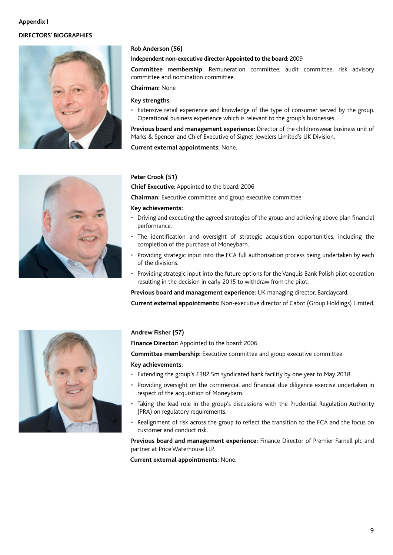#### **Appendix I**

#### **DIRECTORS' BIOGRAPHIES**



#### **Rob Anderson (56)**

#### **Independent non-executive director Appointed to the board:** 2009

**Committee membership:** Remuneration committee, audit committee, risk advisory committee and nomination committee.

**Chairman:** None

#### **Key strengths:**

• Extensive retail experience and knowledge of the type of consumer served by the group. Operational business experience which is relevant to the group's businesses.

**Previous board and management experience:** Director of the childrenswear business unit of Marks & Spencer and Chief Executive of Signet Jewelers Limited's UK Division.

**Current external appointments:** None.



# **Peter Crook (51)**

**Chief Executive:** Appointed to the board: 2006

**Chairman:** Executive committee and group executive committee

#### **Key achievements:**

- • Driving and executing the agreed strategies of the group and achieving above plan financial performance.
- The identification and oversight of strategic acquisition opportunities, including the completion of the purchase of Moneybarn.
- Providing strategic input into the FCA full authorisation process being undertaken by each of the divisions.
- Providing strategic input into the future options for the Vanquis Bank Polish pilot operation resulting in the decision in early 2015 to withdraw from the pilot.

**Previous board and management experience:** UK managing director, Barclaycard.

**Current external appointments:** Non-executive director of Cabot (Group Holdings) Limited.



**Finance Director:** Appointed to the board: 2006

**Committee membership:** Executive committee and group executive committee

#### **Key achievements:**

- Extending the group's £382.5m syndicated bank facility by one year to May 2018.
- Providing oversight on the commercial and financial due diligence exercise undertaken in respect of the acquisition of Moneybarn.
- • Taking the lead role in the group's discussions with the Prudential Regulation Authority (PRA) on regulatory requirements.
- Realignment of risk across the group to reflect the transition to the FCA and the focus on customer and conduct risk.

**Previous board and management experience:** Finance Director of Premier Farnell plc and partner at Price Waterhouse LLP.

**Current external appointments:** None.

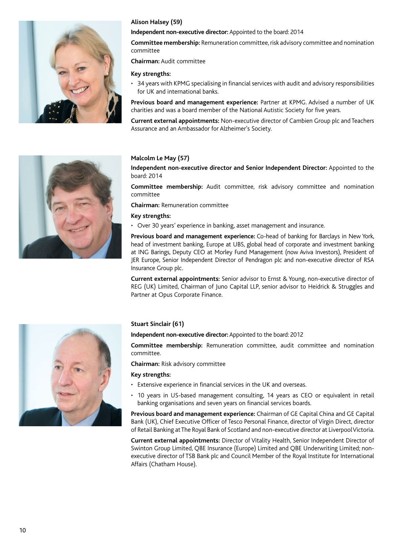

# **Alison Halsey (59)**

**Independent non-executive director:** Appointed to the board: 2014

**Committee membership:** Remuneration committee, risk advisory committee and nomination committee

**Chairman:** Audit committee

#### **Key strengths:**

• 34 years with KPMG specialising in financial services with audit and advisory responsibilities for UK and international banks.

**Previous board and management experience:** Partner at KPMG. Advised a number of UK charities and was a board member of the National Autistic Society for five years.

 **Current external appointments:** Non-executive director of Cambien Group plc and Teachers Assurance and an Ambassador for Alzheimer's Society.



#### **Malcolm Le May (57)**

**Independent non-executive director and Senior Independent Director:** Appointed to the board: 2014

**Committee membership:** Audit committee, risk advisory committee and nomination committee

**Chairman:** Remuneration committee

#### **Key strengths:**

• Over 30 years' experience in banking, asset management and insurance.

**Previous board and management experience:** Co-head of banking for Barclays in New York, head of investment banking, Europe at UBS, global head of corporate and investment banking at ING Barings, Deputy CEO at Morley Fund Management (now Aviva Investors), President of JER Europe, Senior Independent Director of Pendragon plc and non-executive director of RSA Insurance Group plc.

 **Current external appointments:** Senior advisor to Ernst & Young, non-executive director of REG (UK) Limited, Chairman of Juno Capital LLP, senior advisor to Heidrick & Struggles and Partner at Opus Corporate Finance.



**Independent non-executive director:** Appointed to the board: 2012

**Committee membership:** Remuneration committee, audit committee and nomination committee.

**Chairman:** Risk advisory committee

# **Key strengths:**

- • Extensive experience in financial services in the UK and overseas.
- • 10 years in US-based management consulting, 14 years as CEO or equivalent in retail banking organisations and seven years on financial services boards.

**Previous board and management experience:** Chairman of GE Capital China and GE Capital Bank (UK), Chief Executive Officer of Tesco Personal Finance, director of Virgin Direct, director of Retail Banking at The Royal Bank of Scotland and non-executive director at Liverpool Victoria.

 **Current external appointments:** Director of Vitality Health, Senior Independent Director of Swinton Group Limited, QBE Insurance (Europe) Limited and QBE Underwriting Limited; nonexecutive director of TSB Bank plc and Council Member of the Royal Institute for International Affairs (Chatham House).

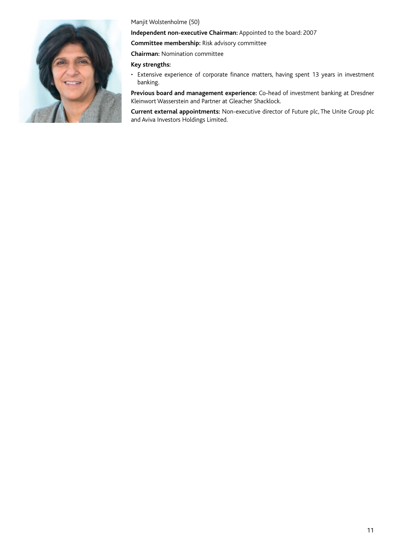

Manjit Wolstenholme (50)

**Independent non-executive Chairman:** Appointed to the board: 2007

**Committee membership:** Risk advisory committee

**Chairman:** Nomination committee

# **Key strengths:**

• Extensive experience of corporate finance matters, having spent 13 years in investment banking.

**Previous board and management experience:** Co-head of investment banking at Dresdner Kleinwort Wasserstein and Partner at Gleacher Shacklock.

**Current external appointments:** Non-executive director of Future plc, The Unite Group plc and Aviva Investors Holdings Limited.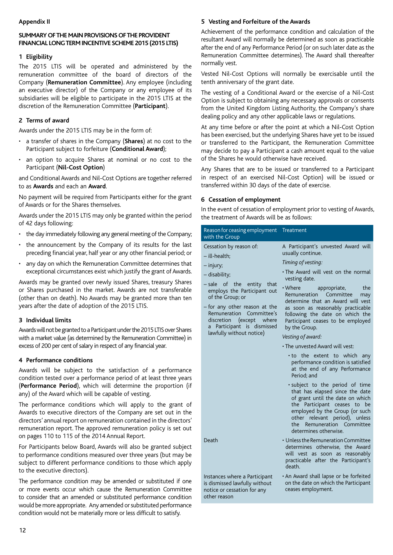# **Appendix II**

## **SUMMARY OF THE MAIN PROVISIONS OF THE PROVIDENT FINANCIAL LONG TERM INCENTIVE SCHEME 2015 (2015 LTIS)**

# **1 Eligibility**

The 2015 LTIS will be operated and administered by the remuneration committee of the board of directors of the Company (**Remuneration Committee**). Any employee (including an executive director) of the Company or any employee of its subsidiaries will be eligible to participate in the 2015 LTIS at the discretion of the Remuneration Committee (**Participant**).

# **2 Terms of award**

Awards under the 2015 LTIS may be in the form of:

- • a transfer of shares in the Company (**Shares**) at no cost to the Participant subject to forfeiture (**Conditional Award**);
- an option to acquire Shares at nominal or no cost to the Participant (**Nil-Cost Option**)

and Conditional Awards and Nil-Cost Options are together referred to as **Awards** and each an **Award**.

No payment will be required from Participants either for the grant of Awards or for the Shares themselves.

Awards under the 2015 LTIS may only be granted within the period of 42 days following:

- the day immediately following any general meeting of the Company;
- the announcement by the Company of its results for the last preceding financial year, half year or any other financial period; or
- any day on which the Remuneration Committee determines that exceptional circumstances exist which justify the grant of Awards.

Awards may be granted over newly issued Shares, treasury Shares or Shares purchased in the market. Awards are not transferable (other than on death). No Awards may be granted more than ten years after the date of adoption of the 2015 LTIS.

#### **3 Individual limits**

Awards will not be granted to a Participant under the 2015 LTIS over Shares with a market value (as determined by the Remuneration Committee) in excess of 200 per cent of salary in respect of any financial year.

#### **4 Performance conditions**

Awards will be subject to the satisfaction of a performance condition tested over a performance period of at least three years (**Performance Period**), which will determine the proportion (if any) of the Award which will be capable of vesting.

The performance conditions which will apply to the grant of Awards to executive directors of the Company are set out in the directors' annual report on remuneration contained in the directors' remuneration report. The approved remuneration policy is set out on pages 110 to 115 of the 2014 Annual Report.

For Participants below Board, Awards will also be granted subject to performance conditions measured over three years (but may be subject to different performance conditions to those which apply to the executive directors).

The performance condition may be amended or substituted if one or more events occur which cause the Remuneration Committee to consider that an amended or substituted performance condition would be more appropriate. Any amended or substituted performance condition would not be materially more or less difficult to satisfy.

# **5 Vesting and Forfeiture of the Awards**

Achievement of the performance condition and calculation of the resultant Award will normally be determined as soon as practicable after the end of any Performance Period (or on such later date as the Remuneration Committee determines). The Award shall thereafter normally vest.

Vested Nil-Cost Options will normally be exercisable until the tenth anniversary of the grant date.

The vesting of a Conditional Award or the exercise of a Nil-Cost Option is subject to obtaining any necessary approvals or consents from the United Kingdom Listing Authority, the Company's share dealing policy and any other applicable laws or regulations.

At any time before or after the point at which a Nil-Cost Option has been exercised, but the underlying Shares have yet to be issued or transferred to the Participant, the Remuneration Committee may decide to pay a Participant a cash amount equal to the value of the Shares he would otherwise have received.

Any Shares that are to be issued or transferred to a Participant in respect of an exercised Nil-Cost Option) will be issued or transferred within 30 days of the date of exercise.

#### **6 Cessation of employment**

Instances where a Participant is dismissed lawfully without notice or cessation for any

other reason

In the event of cessation of employment prior to vesting of Awards, the treatment of Awards will be as follows:

| Reason for ceasing employment Treatment<br>with the Group                                                           |                                                                                                                                                                                                                                                                      |
|---------------------------------------------------------------------------------------------------------------------|----------------------------------------------------------------------------------------------------------------------------------------------------------------------------------------------------------------------------------------------------------------------|
| Cessation by reason of:                                                                                             | A Participant's unvested Award will<br>usually continue.                                                                                                                                                                                                             |
| - ill-health:<br>- injury;                                                                                          | Timing of vesting:                                                                                                                                                                                                                                                   |
| - disability;                                                                                                       | . The Award will vest on the normal<br>vesting date.                                                                                                                                                                                                                 |
| - sale of the entity that<br>employs the Participant out<br>of the Group; or                                        | the<br>• Where the second of the second the second term of the second term in the second term in the second term $\sim$<br>appropriate,<br>Remuneration Committee<br>may<br>determine that an Award will vest                                                        |
| - for any other reason at the<br>Remuneration Committee's<br>discretion (except where<br>a Participant is dismissed | as soon as reasonably practicable<br>following the date on which the<br>Participant ceases to be employed<br>by the Group.                                                                                                                                           |
| lawfully without notice)                                                                                            | Vesting of award:                                                                                                                                                                                                                                                    |
|                                                                                                                     | • The unvested Award will vest:                                                                                                                                                                                                                                      |
|                                                                                                                     | .to the extent to which any<br>performance condition is satisfied<br>at the end of any Performance<br>Period: and                                                                                                                                                    |
|                                                                                                                     | · subject to the period of time<br>that has elapsed since the date<br>of grant until the date on which<br>the Participant ceases to<br>be<br>employed by the Group (or such<br>other relevant period), unless<br>the Remuneration Committee<br>determines otherwise. |
| Death                                                                                                               | • Unless the Remuneration Committee<br>determines otherwise, the Award<br>will vest as soon as reasonably<br>practicable after the Participant's<br>death.                                                                                                           |

• An Award shall lapse or be forfeited on the date on which the Participant ceases employment.

12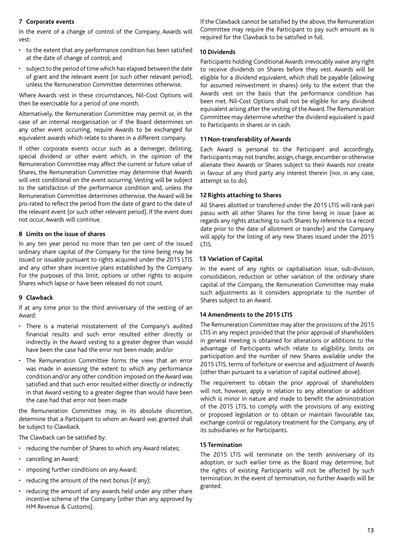# **7 Corporate events**

In the event of a change of control of the Company, Awards will vest:

- to the extent that any performance condition has been satisfied at the date of change of control; and
- • subject to the period of time which has elapsed between the date of grant and the relevant event (or such other relevant period), unless the Remuneration Committee determines otherwise.

Where Awards vest in these circumstances, Nil-Cost Options will then be exercisable for a period of one month.

Alternatively, the Remuneration Committee may permit or, in the case of an internal reorganisation or if the Board determines on any other event occurring, require Awards to be exchanged for equivalent awards which relate to shares in a different company.

If other corporate events occur such as a demerger, delisting, special dividend or other event which, in the opinion of the Remuneration Committee may affect the current or future value of Shares, the Remuneration Committee may determine that Awards will vest conditional on the event occurring. Vesting will be subject to the satisfaction of the performance condition and, unless the Remuneration Committee determines otherwise, the Award will be pro-rated to reflect the period from the date of grant to the date of the relevant event (or such other relevant period). If the event does not occur, Awards will continue.

# **8 Limits on the issue of shares**

In any ten year period no more than ten per cent of the issued ordinary share capital of the Company for the time being may be issued or issuable pursuant to rights acquired under the 2015 LTIS and any other share incentive plans established by the Company. For the purposes of this limit, options or other rights to acquire Shares which lapse or have been released do not count.

#### **9 Clawback**

If at any time prior to the third anniversary of the vesting of an Award:

- There is a material misstatement of the Company's audited financial results and such error resulted either directly or indirectly in the Award vesting to a greater degree than would have been the case had the error not been made; and/or
- The Remuneration Committee forms the view that an error was made in assessing the extent to which any performance condition and/or any other condition imposed on the Award was satisfied and that such error resulted either directly or indirectly in that Award vesting to a greater degree than would have been the case had that error not been made

the Remuneration Committee may, in its absolute discretion, determine that a Participant to whom an Award was granted shall be subject to Clawback.

The Clawback can be satisfied by:

- reducing the number of Shares to which any Award relates;
- cancelling an Award;
- imposing further conditions on any Award;
- reducing the amount of the next bonus (if any);
- reducing the amount of any awards held under any other share incentive scheme of the Company (other than any approved by HM Revenue & Customs).

If the Clawback cannot be satisfied by the above, the Remuneration Committee may require the Participant to pay such amount as is required for the Clawback to be satisfied in full.

# **10 Dividends**

Participants holding Conditional Awards irrevocably waive any right to receive dividends on Shares before they vest. Awards will be eligible for a dividend equivalent, which shall be payable (allowing for assumed reinvestment in shares) only to the extent that the Awards vest on the basis that the performance condition has been met. Nil-Cost Options shall not be eligible for any dividend equivalent arising after the vesting of the Award. The Remuneration Committee may determine whether the dividend equivalent is paid to Participants in shares or in cash.

# **11Non-transferability of Awards**

Each Award is personal to the Participant and accordingly, Participants may not transfer, assign, charge, encumber or otherwise alienate their Awards or Shares subject to their Awards nor create in favour of any third party any interest therein (nor, in any case, attempt so to do).

# **12 Rights attaching to Shares**

All Shares allotted or transferred under the 2015 LTIS will rank pari passu with all other Shares for the time being in issue (save as regards any rights attaching to such Shares by reference to a record date prior to the date of allotment or transfer) and the Company will apply for the listing of any new Shares issued under the 2015 LTIS.

# **13 Variation of Capital**

In the event of any rights or capitalisation issue, sub-division, consolidation, reduction or other variation of the ordinary share capital of the Company, the Remuneration Committee may make such adjustments as it considers appropriate to the number of Shares subject to an Award.

#### **14 Amendments to the 2015 LTIS**

The Remuneration Committee may alter the provisions of the 2015 LTIS in any respect provided that the prior approval of shareholders in general meeting is obtained for alterations or additions to the advantage of Participants which relate to eligibility, limits on participation and the number of new Shares available under the 2015 LTIS, terms of forfeiture or exercise and adjustment of Awards (other than pursuant to a variation of capital outlined above).

The requirement to obtain the prior approval of shareholders will not, however, apply in relation to any alteration or addition which is minor in nature and made to benefit the administration of the 2015 LTIS, to comply with the provisions of any existing or proposed legislation or to obtain or maintain favourable tax, exchange control or regulatory treatment for the Company, any of its subsidiaries or for Participants.

#### **15 Termination**

The 2015 LTIS will terminate on the tenth anniversary of its adoption, or such earlier time as the Board may determine, but the rights of existing Participants will not be affected by such termination. In the event of termination, no further Awards will be granted.